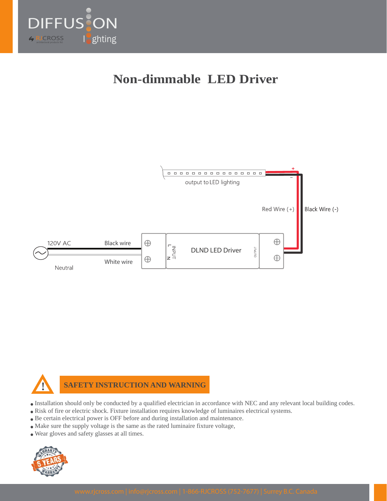

# **Non-dimmable LED Driver**





**SAFETY INSTRUCTION AND WARNING**

- Installation should only be conducted by a qualified electrician in accordance with NEC and any relevant local building codes.
- Risk of fire or electric shock. Fixture installation requires knowledge of luminaires electrical systems.
- Be certain electrical power is OFF before and during installation and maintenance.
- Make sure the supply voltage is the same as the rated luminaire fixture voltage,
- Wear gloves and safety glasses at all times.

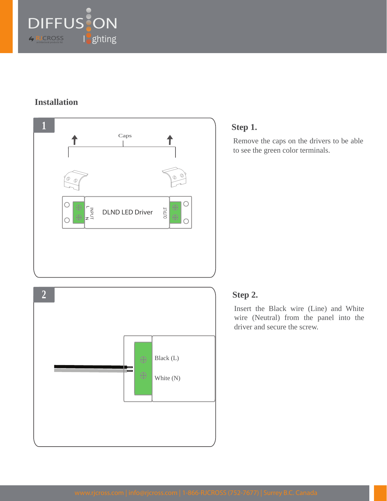

## **Installation**





## **Step 1.**

Remove the caps on the drivers to be able to see the green color terminals.

#### **Step 2.**

Insert the Black wire (Line) and White wire (Neutral) from the panel into the driver and secure the screw.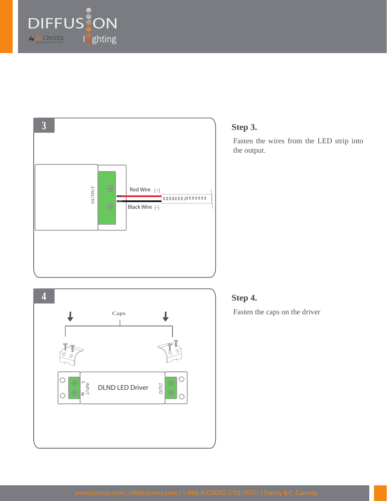





# **Step 3.**

Fasten the wires from the LED strip into the output.

# **Step 4.**

Fasten the caps on the driver